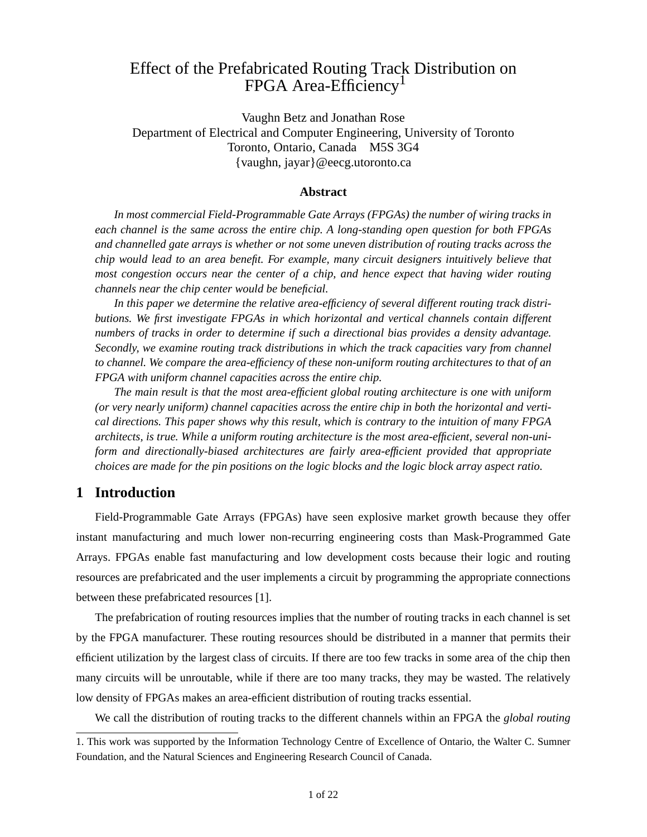# Effect of the Prefabricated Routing Track Distribution on FPGA Area-Efficiency<sup>1</sup>

Vaughn Betz and Jonathan Rose Department of Electrical and Computer Engineering, University of Toronto Toronto, Ontario, Canada M5S 3G4 {vaughn, jayar}@eecg.utoronto.ca

### **Abstract**

*In most commercial Field-Programmable Gate Arrays (FPGAs) the number of wiring tracks in each channel is the same across the entire chip. A long-standing open question for both FPGAs and channelled gate arrays is whether or not some uneven distribution of routing tracks across the chip would lead to an area benefit. For example, many circuit designers intuitively believe that most congestion occurs near the center of a chip, and hence expect that having wider routing channels near the chip center would be beneficial.*

*In this paper we determine the relative area-efficiency of several different routing track distributions. We first investigate FPGAs in which horizontal and vertical channels contain different numbers of tracks in order to determine if such a directional bias provides a density advantage. Secondly, we examine routing track distributions in which the track capacities vary from channel to channel. We compare the area-efficiency of these non-uniform routing architectures to that of an FPGA with uniform channel capacities across the entire chip.*

*The main result is that the most area-efficient global routing architecture is one with uniform (or very nearly uniform) channel capacities across the entire chip in both the horizontal and vertical directions. This paper shows why this result, which is contrary to the intuition of many FPGA architects, is true. While a uniform routing architecture is the most area-efficient, several non-uniform and directionally-biased architectures are fairly area-efficient provided that appropriate choices are made for the pin positions on the logic blocks and the logic block array aspect ratio.*

## **1 Introduction**

Field-Programmable Gate Arrays (FPGAs) have seen explosive market growth because they offer instant manufacturing and much lower non-recurring engineering costs than Mask-Programmed Gate Arrays. FPGAs enable fast manufacturing and low development costs because their logic and routing resources are prefabricated and the user implements a circuit by programming the appropriate connections between these prefabricated resources [1].

The prefabrication of routing resources implies that the number of routing tracks in each channel is set by the FPGA manufacturer. These routing resources should be distributed in a manner that permits their efficient utilization by the largest class of circuits. If there are too few tracks in some area of the chip then many circuits will be unroutable, while if there are too many tracks, they may be wasted. The relatively low density of FPGAs makes an area-efficient distribution of routing tracks essential.

We call the distribution of routing tracks to the different channels within an FPGA the *global routing*

<sup>1.</sup> This work was supported by the Information Technology Centre of Excellence of Ontario, the Walter C. Sumner Foundation, and the Natural Sciences and Engineering Research Council of Canada.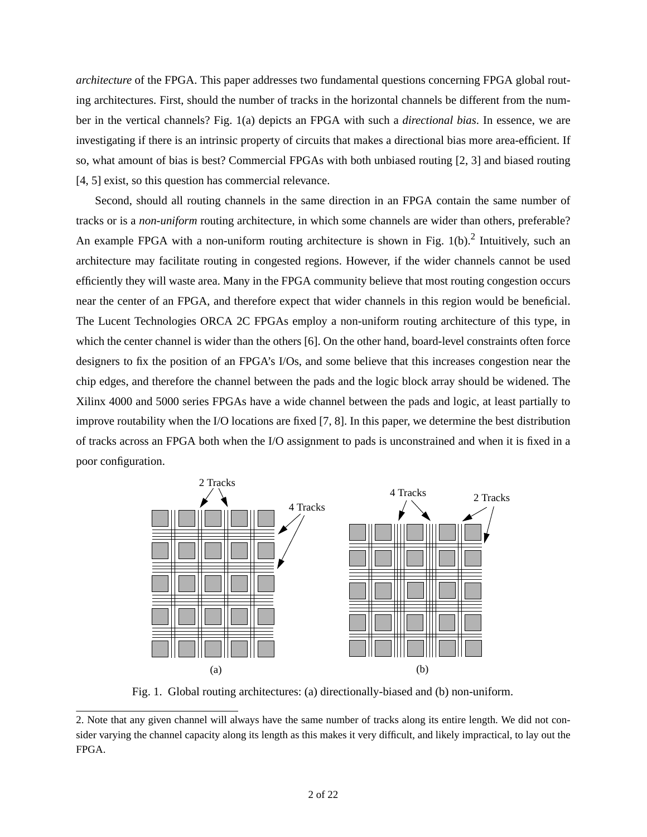*architecture* of the FPGA. This paper addresses two fundamental questions concerning FPGA global routing architectures. First, should the number of tracks in the horizontal channels be different from the number in the vertical channels? Fig. 1(a) depicts an FPGA with such a *directional bias*. In essence, we are investigating if there is an intrinsic property of circuits that makes a directional bias more area-efficient. If so, what amount of bias is best? Commercial FPGAs with both unbiased routing [2, 3] and biased routing [4, 5] exist, so this question has commercial relevance.

Second, should all routing channels in the same direction in an FPGA contain the same number of tracks or is a *non-uniform* routing architecture, in which some channels are wider than others, preferable? An example FPGA with a non-uniform routing architecture is shown in Fig. 1(b).<sup>2</sup> Intuitively, such an architecture may facilitate routing in congested regions. However, if the wider channels cannot be used efficiently they will waste area. Many in the FPGA community believe that most routing congestion occurs near the center of an FPGA, and therefore expect that wider channels in this region would be beneficial. The Lucent Technologies ORCA 2C FPGAs employ a non-uniform routing architecture of this type, in which the center channel is wider than the others [6]. On the other hand, board-level constraints often force designers to fix the position of an FPGA's I/Os, and some believe that this increases congestion near the chip edges, and therefore the channel between the pads and the logic block array should be widened. The Xilinx 4000 and 5000 series FPGAs have a wide channel between the pads and logic, at least partially to improve routability when the I/O locations are fixed [7, 8]. In this paper, we determine the best distribution of tracks across an FPGA both when the I/O assignment to pads is unconstrained and when it is fixed in a poor configuration.



Fig. 1. Global routing architectures: (a) directionally-biased and (b) non-uniform.

<sup>2.</sup> Note that any given channel will always have the same number of tracks along its entire length. We did not consider varying the channel capacity along its length as this makes it very difficult, and likely impractical, to lay out the FPGA.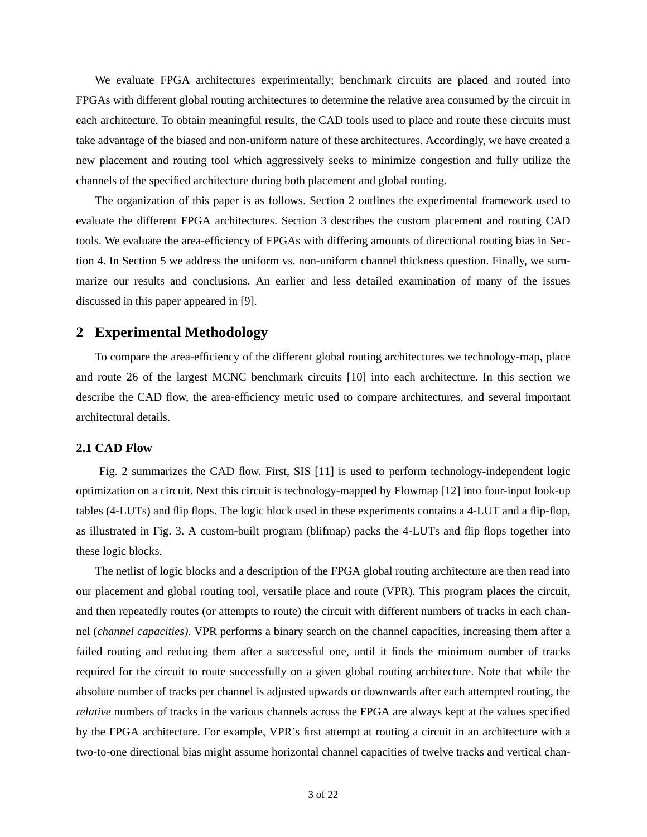We evaluate FPGA architectures experimentally; benchmark circuits are placed and routed into FPGAs with different global routing architectures to determine the relative area consumed by the circuit in each architecture. To obtain meaningful results, the CAD tools used to place and route these circuits must take advantage of the biased and non-uniform nature of these architectures. Accordingly, we have created a new placement and routing tool which aggressively seeks to minimize congestion and fully utilize the channels of the specified architecture during both placement and global routing.

The organization of this paper is as follows. Section 2 outlines the experimental framework used to evaluate the different FPGA architectures. Section 3 describes the custom placement and routing CAD tools. We evaluate the area-efficiency of FPGAs with differing amounts of directional routing bias in Section 4. In Section 5 we address the uniform vs. non-uniform channel thickness question. Finally, we summarize our results and conclusions. An earlier and less detailed examination of many of the issues discussed in this paper appeared in [9].

## **2 Experimental Methodology**

To compare the area-efficiency of the different global routing architectures we technology-map, place and route 26 of the largest MCNC benchmark circuits [10] into each architecture. In this section we describe the CAD flow, the area-efficiency metric used to compare architectures, and several important architectural details.

### **2.1 CAD Flow**

 Fig. 2 summarizes the CAD flow. First, SIS [11] is used to perform technology-independent logic optimization on a circuit. Next this circuit is technology-mapped by Flowmap [12] into four-input look-up tables (4-LUTs) and flip flops. The logic block used in these experiments contains a 4-LUT and a flip-flop, as illustrated in Fig. 3. A custom-built program (blifmap) packs the 4-LUTs and flip flops together into these logic blocks.

The netlist of logic blocks and a description of the FPGA global routing architecture are then read into our placement and global routing tool, versatile place and route (VPR). This program places the circuit, and then repeatedly routes (or attempts to route) the circuit with different numbers of tracks in each channel (*channel capacities)*. VPR performs a binary search on the channel capacities, increasing them after a failed routing and reducing them after a successful one, until it finds the minimum number of tracks required for the circuit to route successfully on a given global routing architecture. Note that while the absolute number of tracks per channel is adjusted upwards or downwards after each attempted routing, the *relative* numbers of tracks in the various channels across the FPGA are always kept at the values specified by the FPGA architecture. For example, VPR's first attempt at routing a circuit in an architecture with a two-to-one directional bias might assume horizontal channel capacities of twelve tracks and vertical chan-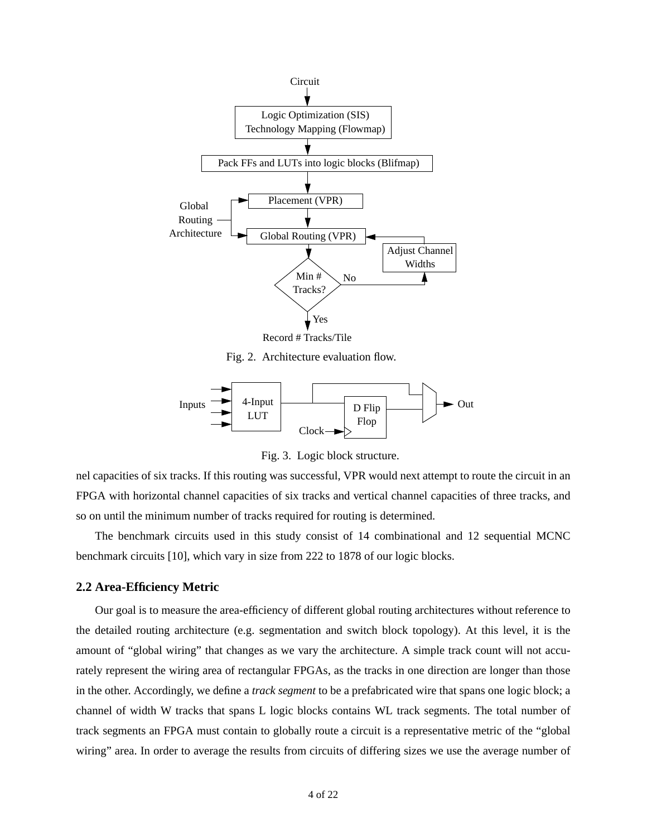

Record # Tracks/Tile

Fig. 2. Architecture evaluation flow.



Fig. 3. Logic block structure.

nel capacities of six tracks. If this routing was successful, VPR would next attempt to route the circuit in an FPGA with horizontal channel capacities of six tracks and vertical channel capacities of three tracks, and so on until the minimum number of tracks required for routing is determined.

The benchmark circuits used in this study consist of 14 combinational and 12 sequential MCNC benchmark circuits [10], which vary in size from 222 to 1878 of our logic blocks.

### **2.2 Area-Efficiency Metric**

Our goal is to measure the area-efficiency of different global routing architectures without reference to the detailed routing architecture (e.g. segmentation and switch block topology). At this level, it is the amount of "global wiring" that changes as we vary the architecture. A simple track count will not accurately represent the wiring area of rectangular FPGAs, as the tracks in one direction are longer than those in the other. Accordingly, we define a *track segment* to be a prefabricated wire that spans one logic block; a channel of width W tracks that spans L logic blocks contains WL track segments. The total number of track segments an FPGA must contain to globally route a circuit is a representative metric of the "global wiring" area. In order to average the results from circuits of differing sizes we use the average number of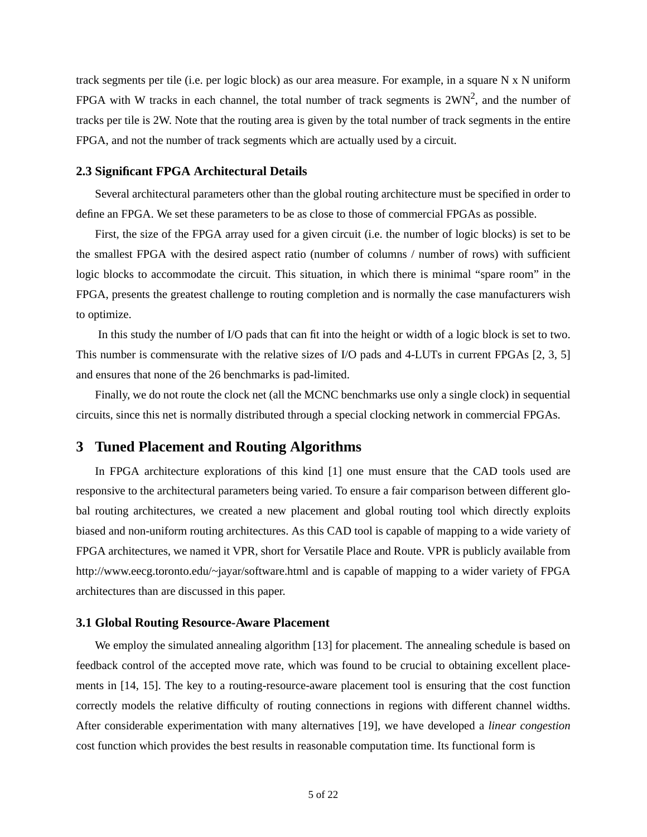track segments per tile (i.e. per logic block) as our area measure. For example, in a square N x N uniform FPGA with W tracks in each channel, the total number of track segments is  $2WN^2$ , and the number of tracks per tile is 2W. Note that the routing area is given by the total number of track segments in the entire FPGA, and not the number of track segments which are actually used by a circuit.

### **2.3 Significant FPGA Architectural Details**

Several architectural parameters other than the global routing architecture must be specified in order to define an FPGA. We set these parameters to be as close to those of commercial FPGAs as possible.

First, the size of the FPGA array used for a given circuit (i.e. the number of logic blocks) is set to be the smallest FPGA with the desired aspect ratio (number of columns / number of rows) with sufficient logic blocks to accommodate the circuit. This situation, in which there is minimal "spare room" in the FPGA, presents the greatest challenge to routing completion and is normally the case manufacturers wish to optimize.

 In this study the number of I/O pads that can fit into the height or width of a logic block is set to two. This number is commensurate with the relative sizes of I/O pads and 4-LUTs in current FPGAs [2, 3, 5] and ensures that none of the 26 benchmarks is pad-limited.

Finally, we do not route the clock net (all the MCNC benchmarks use only a single clock) in sequential circuits, since this net is normally distributed through a special clocking network in commercial FPGAs.

## **3 Tuned Placement and Routing Algorithms**

In FPGA architecture explorations of this kind [1] one must ensure that the CAD tools used are responsive to the architectural parameters being varied. To ensure a fair comparison between different global routing architectures, we created a new placement and global routing tool which directly exploits biased and non-uniform routing architectures. As this CAD tool is capable of mapping to a wide variety of FPGA architectures, we named it VPR, short for Versatile Place and Route. VPR is publicly available from http://www.eecg.toronto.edu/~jayar/software.html and is capable of mapping to a wider variety of FPGA architectures than are discussed in this paper.

#### **3.1 Global Routing Resource-Aware Placement**

We employ the simulated annealing algorithm [13] for placement. The annealing schedule is based on feedback control of the accepted move rate, which was found to be crucial to obtaining excellent placements in [14, 15]. The key to a routing-resource-aware placement tool is ensuring that the cost function correctly models the relative difficulty of routing connections in regions with different channel widths. After considerable experimentation with many alternatives [19], we have developed a *linear congestion* cost function which provides the best results in reasonable computation time. Its functional form is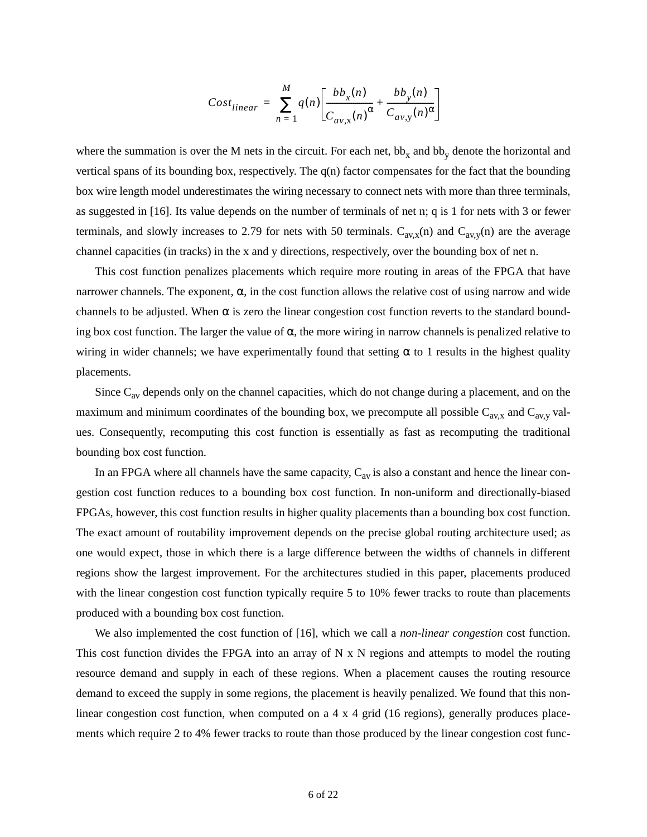$$
Cost_{linear} = \sum_{n=1}^{M} q(n) \left[ \frac{bb_x(n)}{C_{av,x}(n)} \alpha + \frac{bb_y(n)}{C_{av,y}(n)} \alpha \right]
$$

where the summation is over the M nets in the circuit. For each net,  $bb_x$  and  $bb_y$  denote the horizontal and vertical spans of its bounding box, respectively. The q(n) factor compensates for the fact that the bounding box wire length model underestimates the wiring necessary to connect nets with more than three terminals, as suggested in [16]. Its value depends on the number of terminals of net n; q is 1 for nets with 3 or fewer terminals, and slowly increases to 2.79 for nets with 50 terminals.  $C_{av,x}(n)$  and  $C_{av,y}(n)$  are the average channel capacities (in tracks) in the x and y directions, respectively, over the bounding box of net n.

This cost function penalizes placements which require more routing in areas of the FPGA that have narrower channels. The exponent,  $\alpha$ , in the cost function allows the relative cost of using narrow and wide channels to be adjusted. When  $\alpha$  is zero the linear congestion cost function reverts to the standard bounding box cost function. The larger the value of  $\alpha$ , the more wiring in narrow channels is penalized relative to wiring in wider channels; we have experimentally found that setting  $\alpha$  to 1 results in the highest quality placements.

Since  $C_{av}$  depends only on the channel capacities, which do not change during a placement, and on the maximum and minimum coordinates of the bounding box, we precompute all possible  $C_{av,x}$  and  $C_{av,y}$  values. Consequently, recomputing this cost function is essentially as fast as recomputing the traditional bounding box cost function.

In an FPGA where all channels have the same capacity,  $C_{av}$  is also a constant and hence the linear congestion cost function reduces to a bounding box cost function. In non-uniform and directionally-biased FPGAs, however, this cost function results in higher quality placements than a bounding box cost function. The exact amount of routability improvement depends on the precise global routing architecture used; as one would expect, those in which there is a large difference between the widths of channels in different regions show the largest improvement. For the architectures studied in this paper, placements produced with the linear congestion cost function typically require 5 to 10% fewer tracks to route than placements produced with a bounding box cost function.

We also implemented the cost function of [16], which we call a *non-linear congestion* cost function. This cost function divides the FPGA into an array of  $N \times N$  regions and attempts to model the routing resource demand and supply in each of these regions. When a placement causes the routing resource demand to exceed the supply in some regions, the placement is heavily penalized. We found that this nonlinear congestion cost function, when computed on a 4 x 4 grid (16 regions), generally produces placements which require 2 to 4% fewer tracks to route than those produced by the linear congestion cost func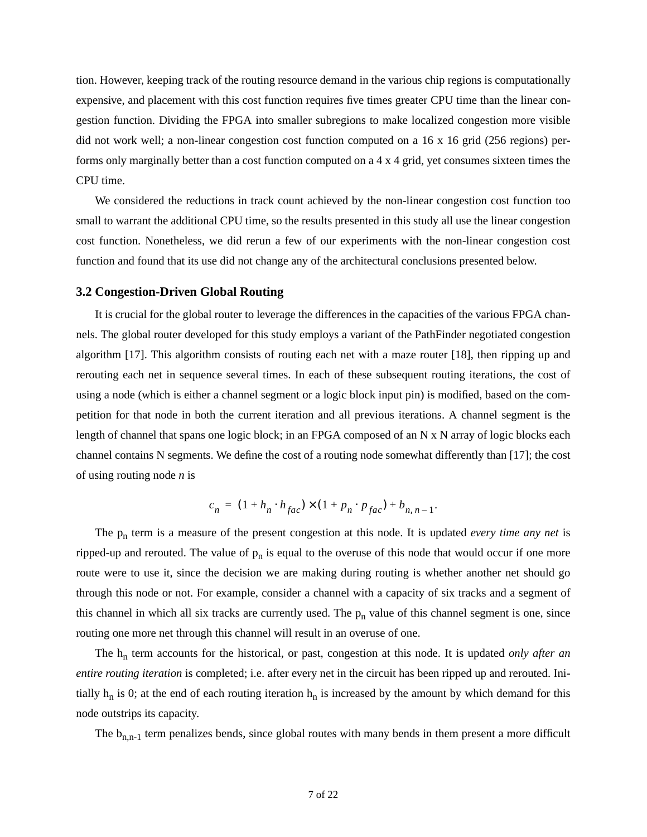tion. However, keeping track of the routing resource demand in the various chip regions is computationally expensive, and placement with this cost function requires five times greater CPU time than the linear congestion function. Dividing the FPGA into smaller subregions to make localized congestion more visible did not work well; a non-linear congestion cost function computed on a 16 x 16 grid (256 regions) performs only marginally better than a cost function computed on a 4 x 4 grid, yet consumes sixteen times the CPU time.

We considered the reductions in track count achieved by the non-linear congestion cost function too small to warrant the additional CPU time, so the results presented in this study all use the linear congestion cost function. Nonetheless, we did rerun a few of our experiments with the non-linear congestion cost function and found that its use did not change any of the architectural conclusions presented below.

### **3.2 Congestion-Driven Global Routing**

It is crucial for the global router to leverage the differences in the capacities of the various FPGA channels. The global router developed for this study employs a variant of the PathFinder negotiated congestion algorithm [17]. This algorithm consists of routing each net with a maze router [18], then ripping up and rerouting each net in sequence several times. In each of these subsequent routing iterations, the cost of using a node (which is either a channel segment or a logic block input pin) is modified, based on the competition for that node in both the current iteration and all previous iterations. A channel segment is the length of channel that spans one logic block; in an FPGA composed of an N x N array of logic blocks each channel contains N segments. We define the cost of a routing node somewhat differently than [17]; the cost of using routing node *n* is

$$
c_n = (1 + h_n \cdot h_{fac}) \times (1 + p_n \cdot p_{fac}) + b_{n, n-1}.
$$

The p<sup>n</sup> term is a measure of the present congestion at this node. It is updated *every time any net* is ripped-up and rerouted. The value of  $p_n$  is equal to the overuse of this node that would occur if one more route were to use it, since the decision we are making during routing is whether another net should go through this node or not. For example, consider a channel with a capacity of six tracks and a segment of this channel in which all six tracks are currently used. The  $p_n$  value of this channel segment is one, since routing one more net through this channel will result in an overuse of one.

The  $h_n$  term accounts for the historical, or past, congestion at this node. It is updated *only after an entire routing iteration* is completed; i.e. after every net in the circuit has been ripped up and rerouted. Initially  $h_n$  is 0; at the end of each routing iteration  $h_n$  is increased by the amount by which demand for this node outstrips its capacity.

The  $b_{n,n-1}$  term penalizes bends, since global routes with many bends in them present a more difficult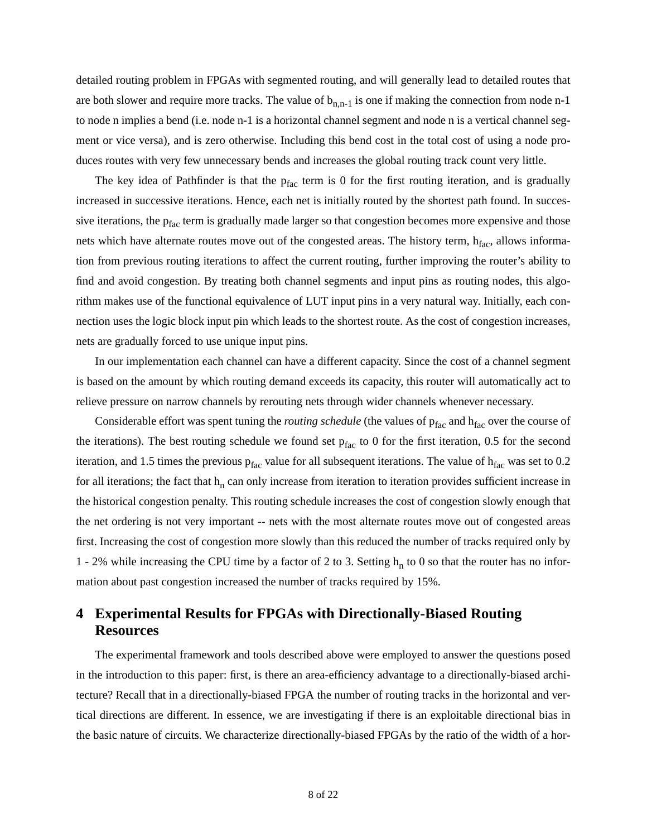detailed routing problem in FPGAs with segmented routing, and will generally lead to detailed routes that are both slower and require more tracks. The value of  $b_{n,n-1}$  is one if making the connection from node n-1 to node n implies a bend (i.e. node n-1 is a horizontal channel segment and node n is a vertical channel segment or vice versa), and is zero otherwise. Including this bend cost in the total cost of using a node produces routes with very few unnecessary bends and increases the global routing track count very little.

The key idea of Pathfinder is that the  $p_{fac}$  term is 0 for the first routing iteration, and is gradually increased in successive iterations. Hence, each net is initially routed by the shortest path found. In successive iterations, the  $p_{fac}$  term is gradually made larger so that congestion becomes more expensive and those nets which have alternate routes move out of the congested areas. The history term,  $h_{fac}$ , allows information from previous routing iterations to affect the current routing, further improving the router's ability to find and avoid congestion. By treating both channel segments and input pins as routing nodes, this algorithm makes use of the functional equivalence of LUT input pins in a very natural way. Initially, each connection uses the logic block input pin which leads to the shortest route. As the cost of congestion increases, nets are gradually forced to use unique input pins.

In our implementation each channel can have a different capacity. Since the cost of a channel segment is based on the amount by which routing demand exceeds its capacity, this router will automatically act to relieve pressure on narrow channels by rerouting nets through wider channels whenever necessary.

Considerable effort was spent tuning the *routing schedule* (the values of p<sub>fac</sub> and h<sub>fac</sub> over the course of the iterations). The best routing schedule we found set  $p_{fac}$  to 0 for the first iteration, 0.5 for the second iteration, and 1.5 times the previous  $p_{fac}$  value for all subsequent iterations. The value of  $h_{fac}$  was set to 0.2 for all iterations; the fact that  $h_n$  can only increase from iteration to iteration provides sufficient increase in the historical congestion penalty. This routing schedule increases the cost of congestion slowly enough that the net ordering is not very important -- nets with the most alternate routes move out of congested areas first. Increasing the cost of congestion more slowly than this reduced the number of tracks required only by 1 - 2% while increasing the CPU time by a factor of 2 to 3. Setting  $h_n$  to 0 so that the router has no information about past congestion increased the number of tracks required by 15%.

# **4 Experimental Results for FPGAs with Directionally-Biased Routing Resources**

The experimental framework and tools described above were employed to answer the questions posed in the introduction to this paper: first, is there an area-efficiency advantage to a directionally-biased architecture? Recall that in a directionally-biased FPGA the number of routing tracks in the horizontal and vertical directions are different. In essence, we are investigating if there is an exploitable directional bias in the basic nature of circuits. We characterize directionally-biased FPGAs by the ratio of the width of a hor-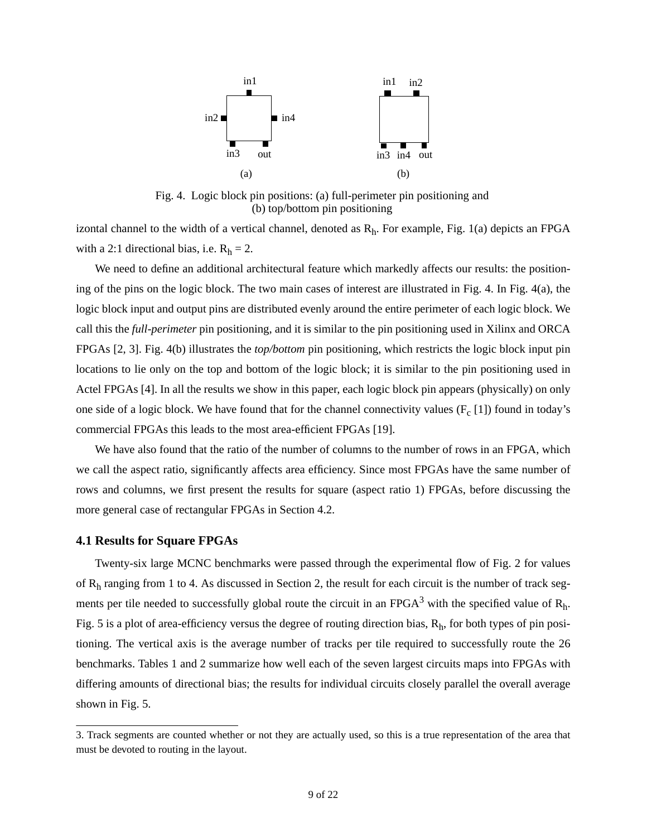

Fig. 4. Logic block pin positions: (a) full-perimeter pin positioning and (b) top/bottom pin positioning

izontal channel to the width of a vertical channel, denoted as  $R<sub>h</sub>$ . For example, Fig. 1(a) depicts an FPGA with a 2:1 directional bias, i.e.  $R_h = 2$ .

We need to define an additional architectural feature which markedly affects our results: the positioning of the pins on the logic block. The two main cases of interest are illustrated in Fig. 4. In Fig. 4(a), the logic block input and output pins are distributed evenly around the entire perimeter of each logic block. We call this the *full-perimeter* pin positioning, and it is similar to the pin positioning used in Xilinx and ORCA FPGAs [2, 3]. Fig. 4(b) illustrates the *top/bottom* pin positioning, which restricts the logic block input pin locations to lie only on the top and bottom of the logic block; it is similar to the pin positioning used in Actel FPGAs [4]. In all the results we show in this paper, each logic block pin appears (physically) on only one side of a logic block. We have found that for the channel connectivity values  $(F_c [1])$  found in today's commercial FPGAs this leads to the most area-efficient FPGAs [19].

We have also found that the ratio of the number of columns to the number of rows in an FPGA, which we call the aspect ratio, significantly affects area efficiency. Since most FPGAs have the same number of rows and columns, we first present the results for square (aspect ratio 1) FPGAs, before discussing the more general case of rectangular FPGAs in Section 4.2.

### **4.1 Results for Square FPGAs**

Twenty-six large MCNC benchmarks were passed through the experimental flow of Fig. 2 for values of  $R_h$  ranging from 1 to 4. As discussed in Section 2, the result for each circuit is the number of track segments per tile needed to successfully global route the circuit in an FPGA<sup>3</sup> with the specified value of  $R_h$ . Fig. 5 is a plot of area-efficiency versus the degree of routing direction bias,  $R<sub>h</sub>$ , for both types of pin positioning. The vertical axis is the average number of tracks per tile required to successfully route the 26 benchmarks. Tables 1 and 2 summarize how well each of the seven largest circuits maps into FPGAs with differing amounts of directional bias; the results for individual circuits closely parallel the overall average shown in Fig. 5.

<sup>3.</sup> Track segments are counted whether or not they are actually used, so this is a true representation of the area that must be devoted to routing in the layout.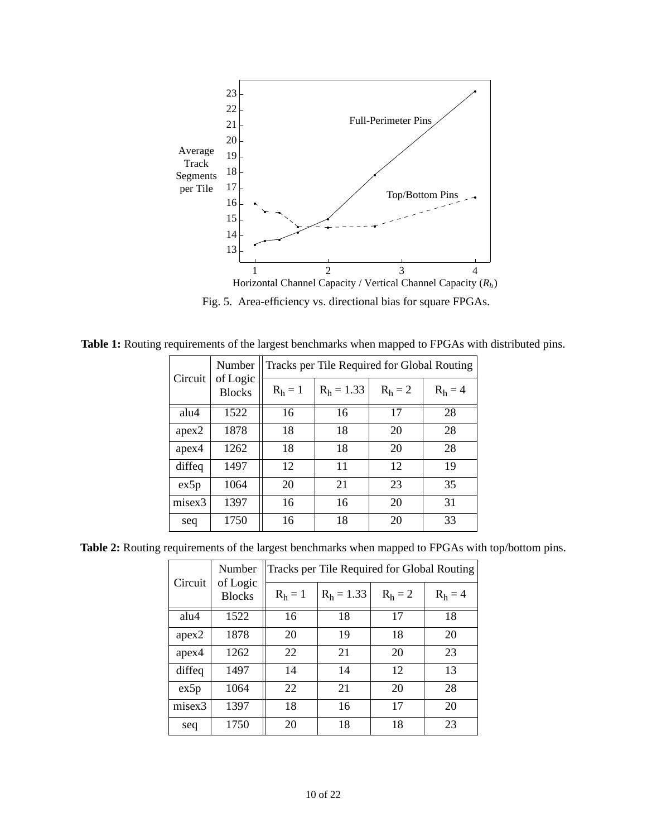

Fig. 5. Area-efficiency vs. directional bias for square FPGAs.

**Table 1:** Routing requirements of the largest benchmarks when mapped to FPGAs with distributed pins.

| Circuit | Number<br>of Logic<br><b>Blocks</b> | Tracks per Tile Required for Global Routing |              |           |           |  |
|---------|-------------------------------------|---------------------------------------------|--------------|-----------|-----------|--|
|         |                                     | $R_h = 1$                                   | $R_h = 1.33$ | $R_h = 2$ | $R_h = 4$ |  |
| alu4    | 1522                                | 16                                          | 16           | 17        | 28        |  |
| apex2   | 1878                                | 18                                          | 18           | 20        | 28        |  |
| apex4   | 1262                                | 18                                          | 18           | 20        | 28        |  |
| diffeq  | 1497                                | 12                                          | 11           | 12        | 19        |  |
| ex5p    | 1064                                | 20                                          | 21           | 23        | 35        |  |
| misex3  | 1397                                | 16                                          | 16           | 20        | 31        |  |
| seq     | 1750                                | 16                                          | 18           | 20        | 33        |  |

**Table 2:** Routing requirements of the largest benchmarks when mapped to FPGAs with top/bottom pins.

| Circuit | Number<br>of Logic<br><b>Blocks</b> | Tracks per Tile Required for Global Routing |              |           |           |  |
|---------|-------------------------------------|---------------------------------------------|--------------|-----------|-----------|--|
|         |                                     | $R_h = 1$                                   | $R_h = 1.33$ | $R_h = 2$ | $R_h = 4$ |  |
| alu4    | 1522                                | 16                                          | 18           | 17        | 18        |  |
| apex2   | 1878                                | 20                                          | 19           | 18        | 20        |  |
| apex4   | 1262                                | 22                                          | 21           | 20        | 23        |  |
| diffeq  | 1497                                | 14                                          | 14           | 12        | 13        |  |
| ex5p    | 1064                                | 22                                          | 21           | 20        | 28        |  |
| misex3  | 1397                                | 18                                          | 16           | 17        | 20        |  |
| seq     | 1750                                | 20                                          | 18           | 18        | 23        |  |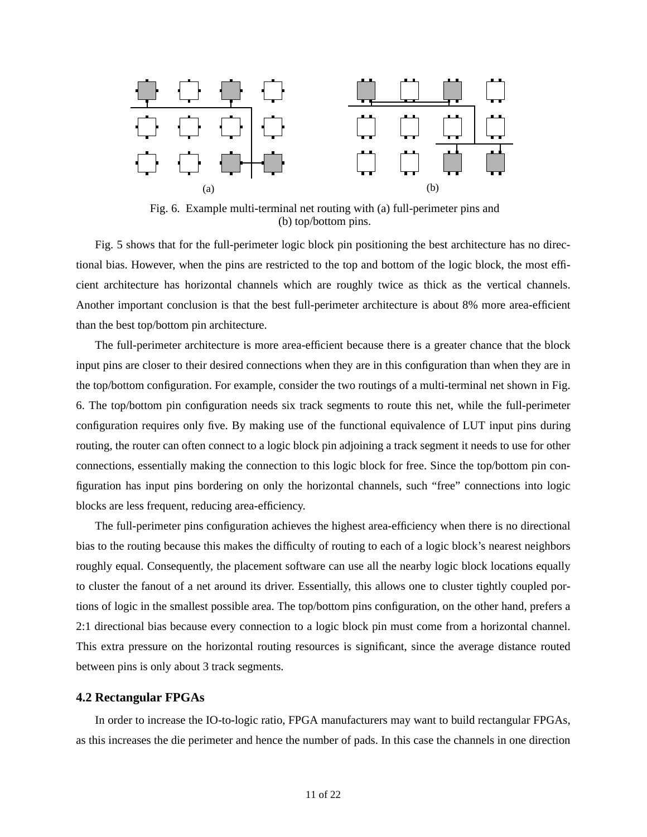

Fig. 6. Example multi-terminal net routing with (a) full-perimeter pins and (b) top/bottom pins.

Fig. 5 shows that for the full-perimeter logic block pin positioning the best architecture has no directional bias. However, when the pins are restricted to the top and bottom of the logic block, the most efficient architecture has horizontal channels which are roughly twice as thick as the vertical channels. Another important conclusion is that the best full-perimeter architecture is about 8% more area-efficient than the best top/bottom pin architecture.

The full-perimeter architecture is more area-efficient because there is a greater chance that the block input pins are closer to their desired connections when they are in this configuration than when they are in the top/bottom configuration. For example, consider the two routings of a multi-terminal net shown in Fig. 6. The top/bottom pin configuration needs six track segments to route this net, while the full-perimeter configuration requires only five. By making use of the functional equivalence of LUT input pins during routing, the router can often connect to a logic block pin adjoining a track segment it needs to use for other connections, essentially making the connection to this logic block for free. Since the top/bottom pin configuration has input pins bordering on only the horizontal channels, such "free" connections into logic blocks are less frequent, reducing area-efficiency.

The full-perimeter pins configuration achieves the highest area-efficiency when there is no directional bias to the routing because this makes the difficulty of routing to each of a logic block's nearest neighbors roughly equal. Consequently, the placement software can use all the nearby logic block locations equally to cluster the fanout of a net around its driver. Essentially, this allows one to cluster tightly coupled portions of logic in the smallest possible area. The top/bottom pins configuration, on the other hand, prefers a 2:1 directional bias because every connection to a logic block pin must come from a horizontal channel. This extra pressure on the horizontal routing resources is significant, since the average distance routed between pins is only about 3 track segments.

#### **4.2 Rectangular FPGAs**

In order to increase the IO-to-logic ratio, FPGA manufacturers may want to build rectangular FPGAs, as this increases the die perimeter and hence the number of pads. In this case the channels in one direction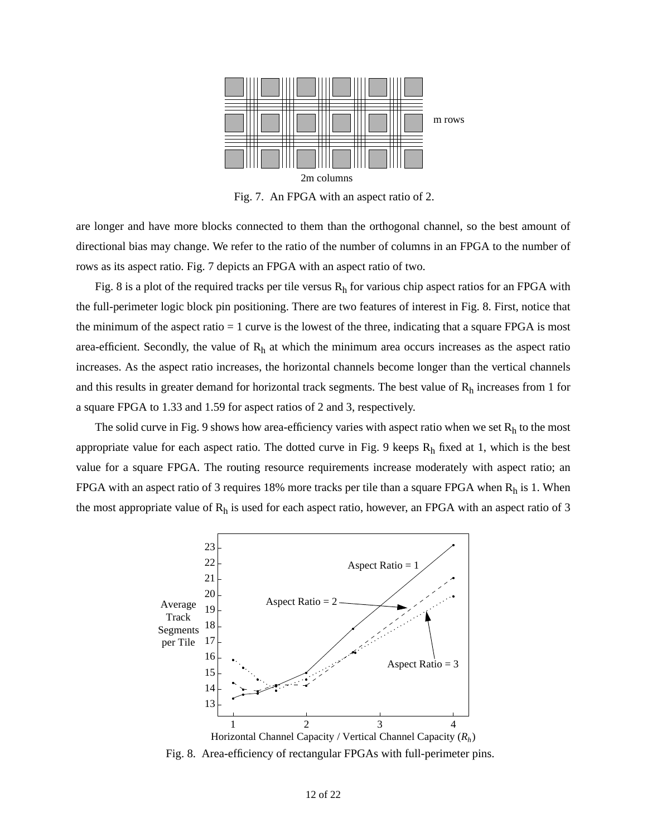

Fig. 7. An FPGA with an aspect ratio of 2.

are longer and have more blocks connected to them than the orthogonal channel, so the best amount of directional bias may change. We refer to the ratio of the number of columns in an FPGA to the number of rows as its aspect ratio. Fig. 7 depicts an FPGA with an aspect ratio of two.

Fig. 8 is a plot of the required tracks per tile versus  $R_h$  for various chip aspect ratios for an FPGA with the full-perimeter logic block pin positioning. There are two features of interest in Fig. 8. First, notice that the minimum of the aspect ratio  $= 1$  curve is the lowest of the three, indicating that a square FPGA is most area-efficient. Secondly, the value of  $R<sub>h</sub>$  at which the minimum area occurs increases as the aspect ratio increases. As the aspect ratio increases, the horizontal channels become longer than the vertical channels and this results in greater demand for horizontal track segments. The best value of  $R_h$  increases from 1 for a square FPGA to 1.33 and 1.59 for aspect ratios of 2 and 3, respectively.

The solid curve in Fig. 9 shows how area-efficiency varies with aspect ratio when we set  $R<sub>h</sub>$  to the most appropriate value for each aspect ratio. The dotted curve in Fig. 9 keeps  $R_h$  fixed at 1, which is the best value for a square FPGA. The routing resource requirements increase moderately with aspect ratio; an FPGA with an aspect ratio of 3 requires 18% more tracks per tile than a square FPGA when  $R_h$  is 1. When the most appropriate value of  $R_h$  is used for each aspect ratio, however, an FPGA with an aspect ratio of 3



Fig. 8. Area-efficiency of rectangular FPGAs with full-perimeter pins.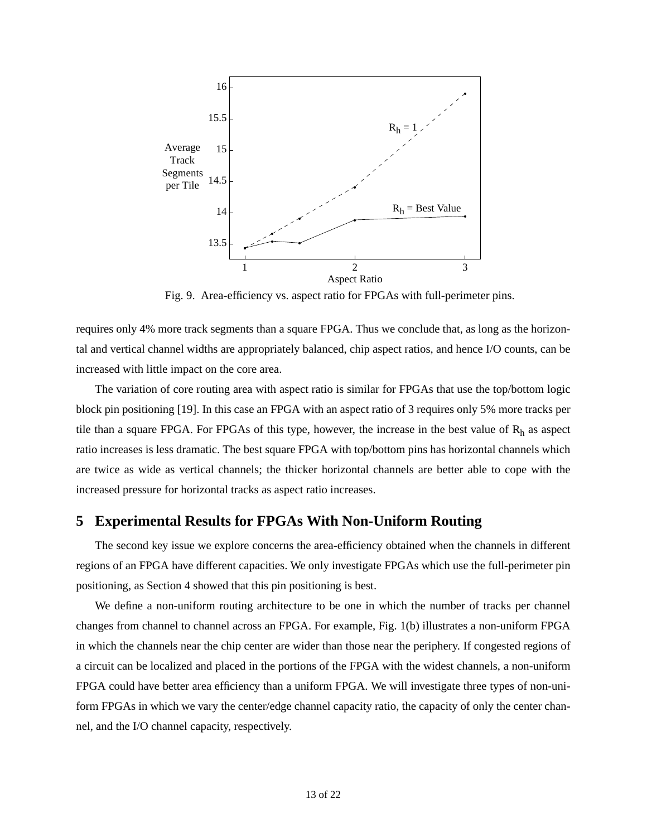

Fig. 9. Area-efficiency vs. aspect ratio for FPGAs with full-perimeter pins.

requires only 4% more track segments than a square FPGA. Thus we conclude that, as long as the horizontal and vertical channel widths are appropriately balanced, chip aspect ratios, and hence I/O counts, can be increased with little impact on the core area.

The variation of core routing area with aspect ratio is similar for FPGAs that use the top/bottom logic block pin positioning [19]. In this case an FPGA with an aspect ratio of 3 requires only 5% more tracks per tile than a square FPGA. For FPGAs of this type, however, the increase in the best value of  $R_h$  as aspect ratio increases is less dramatic. The best square FPGA with top/bottom pins has horizontal channels which are twice as wide as vertical channels; the thicker horizontal channels are better able to cope with the increased pressure for horizontal tracks as aspect ratio increases.

## **5 Experimental Results for FPGAs With Non-Uniform Routing**

The second key issue we explore concerns the area-efficiency obtained when the channels in different regions of an FPGA have different capacities. We only investigate FPGAs which use the full-perimeter pin positioning, as Section 4 showed that this pin positioning is best.

We define a non-uniform routing architecture to be one in which the number of tracks per channel changes from channel to channel across an FPGA. For example, Fig. 1(b) illustrates a non-uniform FPGA in which the channels near the chip center are wider than those near the periphery. If congested regions of a circuit can be localized and placed in the portions of the FPGA with the widest channels, a non-uniform FPGA could have better area efficiency than a uniform FPGA. We will investigate three types of non-uniform FPGAs in which we vary the center/edge channel capacity ratio, the capacity of only the center channel, and the I/O channel capacity, respectively.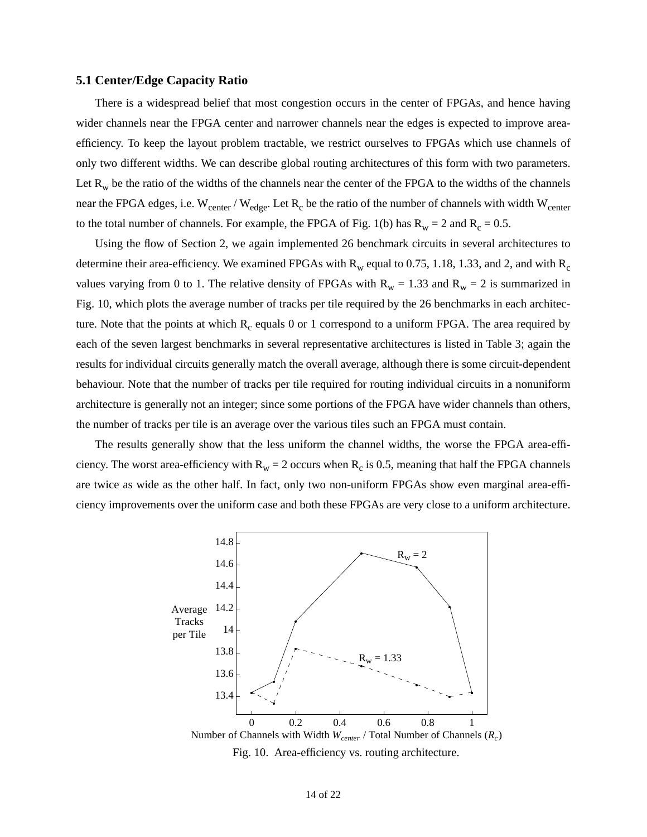### **5.1 Center/Edge Capacity Ratio**

There is a widespread belief that most congestion occurs in the center of FPGAs, and hence having wider channels near the FPGA center and narrower channels near the edges is expected to improve areaefficiency. To keep the layout problem tractable, we restrict ourselves to FPGAs which use channels of only two different widths. We can describe global routing architectures of this form with two parameters. Let  $R_w$  be the ratio of the widths of the channels near the center of the FPGA to the widths of the channels near the FPGA edges, i.e.  $W_{center} / W_{edge}$ . Let  $R_c$  be the ratio of the number of channels with width  $W_{center}$ to the total number of channels. For example, the FPGA of Fig. 1(b) has  $R_w = 2$  and  $R_c = 0.5$ .

Using the flow of Section 2, we again implemented 26 benchmark circuits in several architectures to determine their area-efficiency. We examined FPGAs with  $R_w$  equal to 0.75, 1.18, 1.33, and 2, and with  $R_c$ values varying from 0 to 1. The relative density of FPGAs with  $R_w = 1.33$  and  $R_w = 2$  is summarized in Fig. 10, which plots the average number of tracks per tile required by the 26 benchmarks in each architecture. Note that the points at which  $R_c$  equals 0 or 1 correspond to a uniform FPGA. The area required by each of the seven largest benchmarks in several representative architectures is listed in Table 3; again the results for individual circuits generally match the overall average, although there is some circuit-dependent behaviour. Note that the number of tracks per tile required for routing individual circuits in a nonuniform architecture is generally not an integer; since some portions of the FPGA have wider channels than others, the number of tracks per tile is an average over the various tiles such an FPGA must contain.

The results generally show that the less uniform the channel widths, the worse the FPGA area-efficiency. The worst area-efficiency with  $R_w = 2$  occurs when  $R_c$  is 0.5, meaning that half the FPGA channels are twice as wide as the other half. In fact, only two non-uniform FPGAs show even marginal area-efficiency improvements over the uniform case and both these FPGAs are very close to a uniform architecture.



Fig. 10. Area-efficiency vs. routing architecture.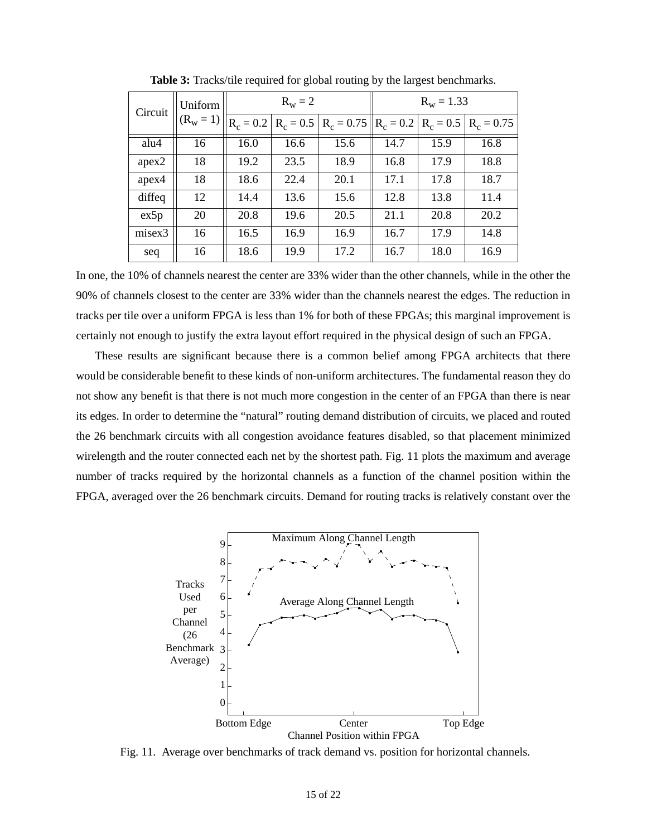| Circuit | Uniform | $R_w = 2$ |      |                                                                                                                                    | $R_w = 1.33$ |      |      |
|---------|---------|-----------|------|------------------------------------------------------------------------------------------------------------------------------------|--------------|------|------|
|         |         |           |      | $(R_w = 1)$ $\left  R_c = 0.2 \right $ $R_c = 0.5$ $\left  R_c = 0.75 \right $ $R_c = 0.2$ $\left  R_c = 0.5 \right $ $R_c = 0.75$ |              |      |      |
| alu4    | 16      | 16.0      | 16.6 | 15.6                                                                                                                               | 14.7         | 15.9 | 16.8 |
| apex2   | 18      | 19.2      | 23.5 | 18.9                                                                                                                               | 16.8         | 17.9 | 18.8 |
| apex4   | 18      | 18.6      | 22.4 | 20.1                                                                                                                               | 17.1         | 17.8 | 18.7 |
| diffeq  | 12      | 14.4      | 13.6 | 15.6                                                                                                                               | 12.8         | 13.8 | 11.4 |
| ex5p    | 20      | 20.8      | 19.6 | 20.5                                                                                                                               | 21.1         | 20.8 | 20.2 |
| misex3  | 16      | 16.5      | 16.9 | 16.9                                                                                                                               | 16.7         | 17.9 | 14.8 |
| seq     | 16      | 18.6      | 19.9 | 17.2                                                                                                                               | 16.7         | 18.0 | 16.9 |

**Table 3:** Tracks/tile required for global routing by the largest benchmarks.

In one, the 10% of channels nearest the center are 33% wider than the other channels, while in the other the 90% of channels closest to the center are 33% wider than the channels nearest the edges. The reduction in tracks per tile over a uniform FPGA is less than 1% for both of these FPGAs; this marginal improvement is certainly not enough to justify the extra layout effort required in the physical design of such an FPGA.

These results are significant because there is a common belief among FPGA architects that there would be considerable benefit to these kinds of non-uniform architectures. The fundamental reason they do not show any benefit is that there is not much more congestion in the center of an FPGA than there is near its edges. In order to determine the "natural" routing demand distribution of circuits, we placed and routed the 26 benchmark circuits with all congestion avoidance features disabled, so that placement minimized wirelength and the router connected each net by the shortest path. Fig. 11 plots the maximum and average number of tracks required by the horizontal channels as a function of the channel position within the FPGA, averaged over the 26 benchmark circuits. Demand for routing tracks is relatively constant over the



Fig. 11. Average over benchmarks of track demand vs. position for horizontal channels.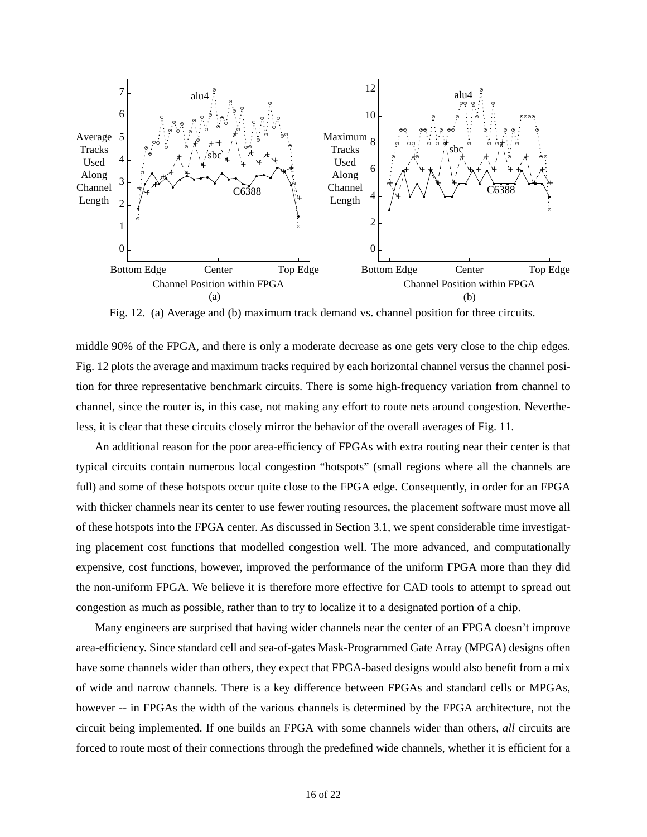

Fig. 12. (a) Average and (b) maximum track demand vs. channel position for three circuits.

middle 90% of the FPGA, and there is only a moderate decrease as one gets very close to the chip edges. Fig. 12 plots the average and maximum tracks required by each horizontal channel versus the channel position for three representative benchmark circuits. There is some high-frequency variation from channel to channel, since the router is, in this case, not making any effort to route nets around congestion. Nevertheless, it is clear that these circuits closely mirror the behavior of the overall averages of Fig. 11.

An additional reason for the poor area-efficiency of FPGAs with extra routing near their center is that typical circuits contain numerous local congestion "hotspots" (small regions where all the channels are full) and some of these hotspots occur quite close to the FPGA edge. Consequently, in order for an FPGA with thicker channels near its center to use fewer routing resources, the placement software must move all of these hotspots into the FPGA center. As discussed in Section 3.1, we spent considerable time investigating placement cost functions that modelled congestion well. The more advanced, and computationally expensive, cost functions, however, improved the performance of the uniform FPGA more than they did the non-uniform FPGA. We believe it is therefore more effective for CAD tools to attempt to spread out congestion as much as possible, rather than to try to localize it to a designated portion of a chip.

Many engineers are surprised that having wider channels near the center of an FPGA doesn't improve area-efficiency. Since standard cell and sea-of-gates Mask-Programmed Gate Array (MPGA) designs often have some channels wider than others, they expect that FPGA-based designs would also benefit from a mix of wide and narrow channels. There is a key difference between FPGAs and standard cells or MPGAs, however -- in FPGAs the width of the various channels is determined by the FPGA architecture, not the circuit being implemented. If one builds an FPGA with some channels wider than others, *all* circuits are forced to route most of their connections through the predefined wide channels, whether it is efficient for a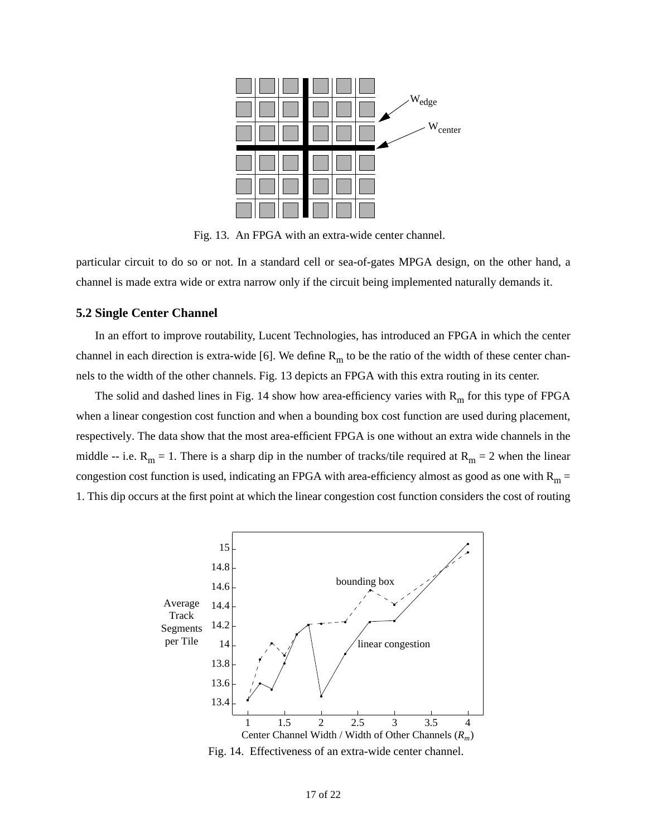

Fig. 13. An FPGA with an extra-wide center channel.

particular circuit to do so or not. In a standard cell or sea-of-gates MPGA design, on the other hand, a channel is made extra wide or extra narrow only if the circuit being implemented naturally demands it.

### **5.2 Single Center Channel**

In an effort to improve routability, Lucent Technologies, has introduced an FPGA in which the center channel in each direction is extra-wide [6]. We define  $R_m$  to be the ratio of the width of these center channels to the width of the other channels. Fig. 13 depicts an FPGA with this extra routing in its center.

The solid and dashed lines in Fig. 14 show how area-efficiency varies with  $R_m$  for this type of FPGA when a linear congestion cost function and when a bounding box cost function are used during placement, respectively. The data show that the most area-efficient FPGA is one without an extra wide channels in the middle -- i.e.  $R_m = 1$ . There is a sharp dip in the number of tracks/tile required at  $R_m = 2$  when the linear congestion cost function is used, indicating an FPGA with area-efficiency almost as good as one with  $R_m$  = 1. This dip occurs at the first point at which the linear congestion cost function considers the cost of routing



Fig. 14. Effectiveness of an extra-wide center channel.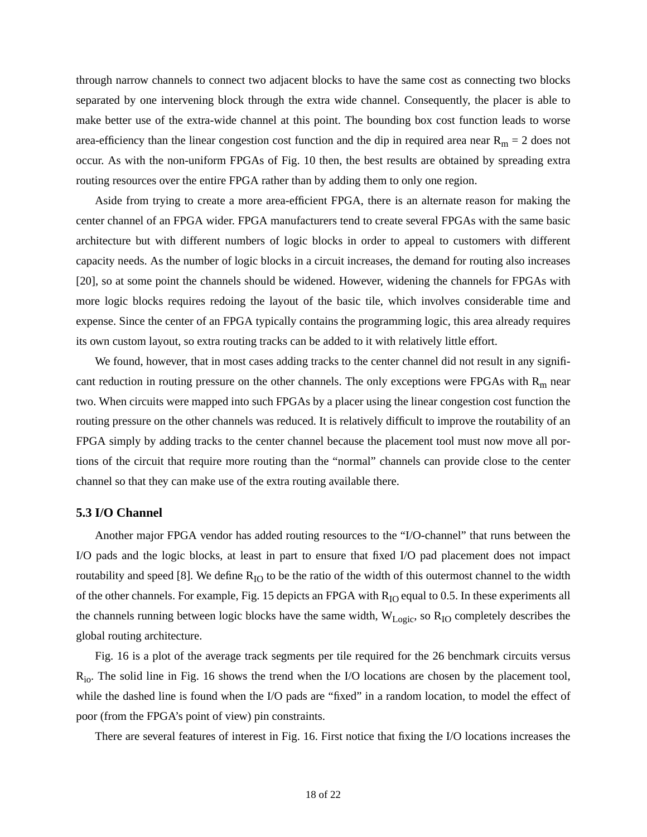through narrow channels to connect two adjacent blocks to have the same cost as connecting two blocks separated by one intervening block through the extra wide channel. Consequently, the placer is able to make better use of the extra-wide channel at this point. The bounding box cost function leads to worse area-efficiency than the linear congestion cost function and the dip in required area near  $R_m = 2$  does not occur. As with the non-uniform FPGAs of Fig. 10 then, the best results are obtained by spreading extra routing resources over the entire FPGA rather than by adding them to only one region.

Aside from trying to create a more area-efficient FPGA, there is an alternate reason for making the center channel of an FPGA wider. FPGA manufacturers tend to create several FPGAs with the same basic architecture but with different numbers of logic blocks in order to appeal to customers with different capacity needs. As the number of logic blocks in a circuit increases, the demand for routing also increases [20], so at some point the channels should be widened. However, widening the channels for FPGAs with more logic blocks requires redoing the layout of the basic tile, which involves considerable time and expense. Since the center of an FPGA typically contains the programming logic, this area already requires its own custom layout, so extra routing tracks can be added to it with relatively little effort.

We found, however, that in most cases adding tracks to the center channel did not result in any significant reduction in routing pressure on the other channels. The only exceptions were FPGAs with  $R_m$  near two. When circuits were mapped into such FPGAs by a placer using the linear congestion cost function the routing pressure on the other channels was reduced. It is relatively difficult to improve the routability of an FPGA simply by adding tracks to the center channel because the placement tool must now move all portions of the circuit that require more routing than the "normal" channels can provide close to the center channel so that they can make use of the extra routing available there.

### **5.3 I/O Channel**

Another major FPGA vendor has added routing resources to the "I/O-channel" that runs between the I/O pads and the logic blocks, at least in part to ensure that fixed I/O pad placement does not impact routability and speed [8]. We define  $R_{IO}$  to be the ratio of the width of this outermost channel to the width of the other channels. For example, Fig. 15 depicts an FPGA with  $R_{\text{IO}}$  equal to 0.5. In these experiments all the channels running between logic blocks have the same width,  $W_{Logic}$ , so  $R_{IO}$  completely describes the global routing architecture.

Fig. 16 is a plot of the average track segments per tile required for the 26 benchmark circuits versus  $R_{io}$ . The solid line in Fig. 16 shows the trend when the I/O locations are chosen by the placement tool, while the dashed line is found when the I/O pads are "fixed" in a random location, to model the effect of poor (from the FPGA's point of view) pin constraints.

There are several features of interest in Fig. 16. First notice that fixing the I/O locations increases the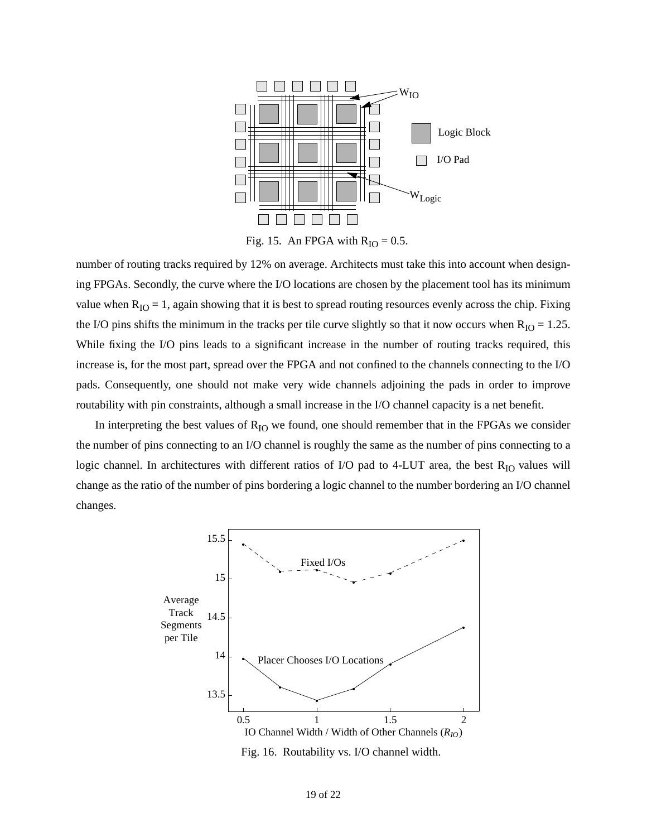

Fig. 15. An FPGA with  $R_{IO} = 0.5$ .

number of routing tracks required by 12% on average. Architects must take this into account when designing FPGAs. Secondly, the curve where the I/O locations are chosen by the placement tool has its minimum value when  $R_{IO} = 1$ , again showing that it is best to spread routing resources evenly across the chip. Fixing the I/O pins shifts the minimum in the tracks per tile curve slightly so that it now occurs when  $R_{IO} = 1.25$ . While fixing the I/O pins leads to a significant increase in the number of routing tracks required, this increase is, for the most part, spread over the FPGA and not confined to the channels connecting to the I/O pads. Consequently, one should not make very wide channels adjoining the pads in order to improve routability with pin constraints, although a small increase in the I/O channel capacity is a net benefit.

In interpreting the best values of  $R_{IO}$  we found, one should remember that in the FPGAs we consider the number of pins connecting to an I/O channel is roughly the same as the number of pins connecting to a logic channel. In architectures with different ratios of I/O pad to 4-LUT area, the best  $R_{IO}$  values will change as the ratio of the number of pins bordering a logic channel to the number bordering an I/O channel changes.



Fig. 16. Routability vs. I/O channel width.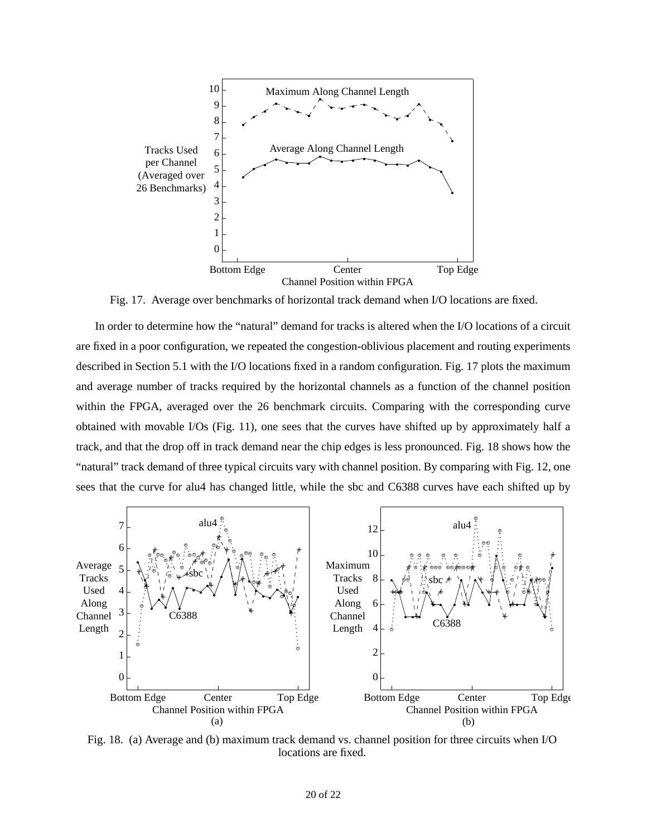

Fig. 17. Average over benchmarks of horizontal track demand when I/O locations are fixed.

In order to determine how the "natural" demand for tracks is altered when the I/O locations of a circuit are fixed in a poor configuration, we repeated the congestion-oblivious placement and routing experiments described in Section 5.1 with the I/O locations fixed in a random configuration. Fig. 17 plots the maximum and average number of tracks required by the horizontal channels as a function of the channel position within the FPGA, averaged over the 26 benchmark circuits. Comparing with the corresponding curve obtained with movable I/Os (Fig. 11), one sees that the curves have shifted up by approximately half a track, and that the drop off in track demand near the chip edges is less pronounced. Fig. 18 shows how the "natural" track demand of three typical circuits vary with channel position. By comparing with Fig. 12, one sees that the curve for alu4 has changed little, while the sbc and C6388 curves have each shifted up by



Fig. 18. (a) Average and (b) maximum track demand vs. channel position for three circuits when I/O locations are fixed.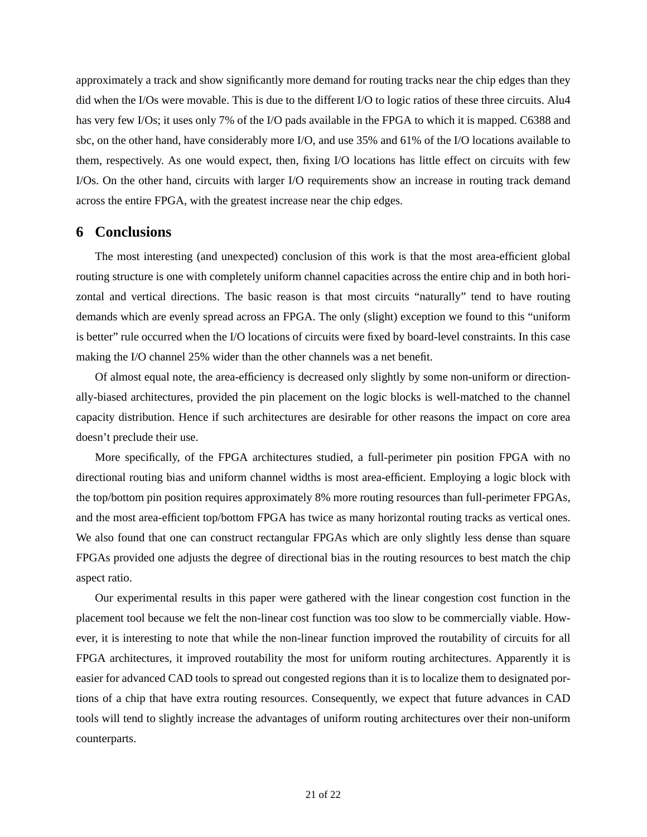approximately a track and show significantly more demand for routing tracks near the chip edges than they did when the I/Os were movable. This is due to the different I/O to logic ratios of these three circuits. Alu4 has very few I/Os; it uses only 7% of the I/O pads available in the FPGA to which it is mapped. C6388 and sbc, on the other hand, have considerably more I/O, and use 35% and 61% of the I/O locations available to them, respectively. As one would expect, then, fixing I/O locations has little effect on circuits with few I/Os. On the other hand, circuits with larger I/O requirements show an increase in routing track demand across the entire FPGA, with the greatest increase near the chip edges.

## **6 Conclusions**

The most interesting (and unexpected) conclusion of this work is that the most area-efficient global routing structure is one with completely uniform channel capacities across the entire chip and in both horizontal and vertical directions. The basic reason is that most circuits "naturally" tend to have routing demands which are evenly spread across an FPGA. The only (slight) exception we found to this "uniform is better" rule occurred when the I/O locations of circuits were fixed by board-level constraints. In this case making the I/O channel 25% wider than the other channels was a net benefit.

Of almost equal note, the area-efficiency is decreased only slightly by some non-uniform or directionally-biased architectures, provided the pin placement on the logic blocks is well-matched to the channel capacity distribution. Hence if such architectures are desirable for other reasons the impact on core area doesn't preclude their use.

More specifically, of the FPGA architectures studied, a full-perimeter pin position FPGA with no directional routing bias and uniform channel widths is most area-efficient. Employing a logic block with the top/bottom pin position requires approximately 8% more routing resources than full-perimeter FPGAs, and the most area-efficient top/bottom FPGA has twice as many horizontal routing tracks as vertical ones. We also found that one can construct rectangular FPGAs which are only slightly less dense than square FPGAs provided one adjusts the degree of directional bias in the routing resources to best match the chip aspect ratio.

Our experimental results in this paper were gathered with the linear congestion cost function in the placement tool because we felt the non-linear cost function was too slow to be commercially viable. However, it is interesting to note that while the non-linear function improved the routability of circuits for all FPGA architectures, it improved routability the most for uniform routing architectures. Apparently it is easier for advanced CAD tools to spread out congested regions than it is to localize them to designated portions of a chip that have extra routing resources. Consequently, we expect that future advances in CAD tools will tend to slightly increase the advantages of uniform routing architectures over their non-uniform counterparts.